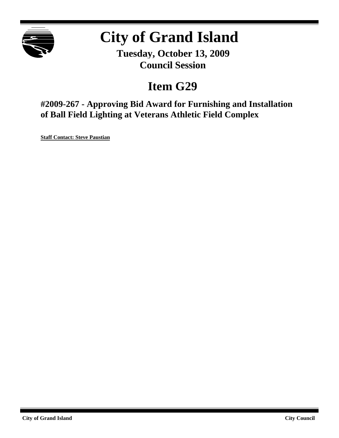

# **City of Grand Island**

**Tuesday, October 13, 2009 Council Session**

## **Item G29**

**#2009-267 - Approving Bid Award for Furnishing and Installation of Ball Field Lighting at Veterans Athletic Field Complex**

**Staff Contact: Steve Paustian**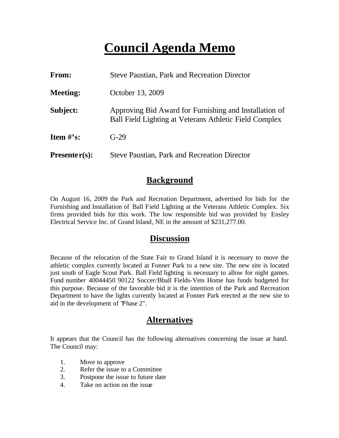## **Council Agenda Memo**

| From:           | <b>Steve Paustian, Park and Recreation Director</b>                                                              |  |
|-----------------|------------------------------------------------------------------------------------------------------------------|--|
| <b>Meeting:</b> | October 13, 2009                                                                                                 |  |
| Subject:        | Approving Bid Award for Furnishing and Installation of<br>Ball Field Lighting at Veterans Athletic Field Complex |  |
| Item $\#$ 's:   | $G-29$                                                                                                           |  |
| $Presenter(s):$ | Steve Paustian, Park and Recreation Director                                                                     |  |

### **Background**

On August 16, 2009 the Park and Recreation Department, advertised for bids for the Furnishing and Installation of Ball Field Lighting at the Veterans Athletic Complex. Six firms provided bids for this work. The low responsible bid was provided by Ensley Electrical Service Inc. of Grand Island, NE in the amount of \$231,277.00.

#### **Discussion**

Because of the relocation of the State Fair to Grand Island it is necessary to move the athletic complex currently located at Fonner Park to a new site. The new site is located just south of Eagle Scout Park. Ball Field lighting is necessary to allow for night games. Fund number 40044450 90122 Soccer/Bball Fields-Vets Home has funds budgeted for this purpose. Because of the favorable bid it is the intention of the Park and Recreation Department to have the lights currently located at Fonner Park erected at the new site to aid in the development of "Phase 2".

### **Alternatives**

It appears that the Council has the following alternatives concerning the issue at hand. The Council may:

- 1. Move to approve
- 2. Refer the issue to a Committee
- 3. Postpone the issue to future date
- 4. Take no action on the issue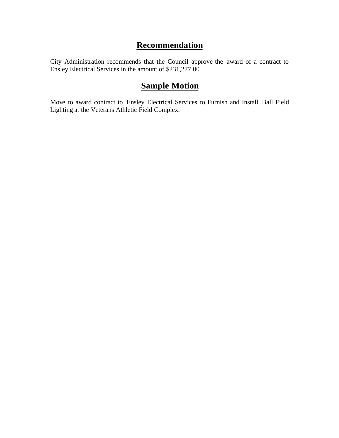## **Recommendation**

City Administration recommends that the Council approve the award of a contract to Ensley Electrical Services in the amount of \$231,277.00

## **Sample Motion**

Move to award contract to Ensley Electrical Services to Furnish and Install Ball Field Lighting at the Veterans Athletic Field Complex.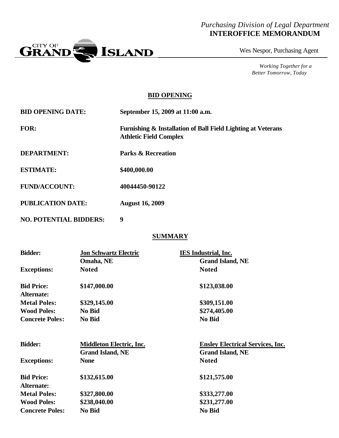#### *Purchasing Division of Legal Department* **INTEROFFICE MEMORANDUM**



Wes Nespor, Purchasing Agent

*Working Together for a Better Tomorrow, Today*

#### **BID OPENING**

| <b>BID OPENING DATE:</b> | September 15, 2009 at 11:00 a.m.                                                              |
|--------------------------|-----------------------------------------------------------------------------------------------|
| <b>FOR:</b>              | Furnishing & Installation of Ball Field Lighting at Veterans<br><b>Athletic Field Complex</b> |
| <b>DEPARTMENT:</b>       | <b>Parks &amp; Recreation</b>                                                                 |
| <b>ESTIMATE:</b>         | \$400,000.00                                                                                  |
| <b>FUND/ACCOUNT:</b>     | 40044450-90122                                                                                |
| <b>PUBLICATION DATE:</b> | <b>August 16, 2009</b>                                                                        |

**NO. POTENTIAL BIDDERS: 9**

#### **SUMMARY**

| <b>Bidder:</b>                  | <b>Jon Schwartz Electric</b>    | <b>IES</b> Industrial, Inc.             |
|---------------------------------|---------------------------------|-----------------------------------------|
|                                 | Omaha, NE                       | <b>Grand Island, NE</b>                 |
| <b>Exceptions:</b>              | <b>Noted</b>                    | <b>Noted</b>                            |
| <b>Bid Price:</b><br>Alternate: | \$147,000.00                    | \$123,038.00                            |
| <b>Metal Poles:</b>             | \$329,145.00                    | \$309,151.00                            |
| <b>Wood Poles:</b>              | No Bid                          | \$274,405.00                            |
| <b>Concrete Poles:</b>          | No Bid                          | No Bid                                  |
| <b>Bidder:</b>                  | <b>Middleton Electric, Inc.</b> | <b>Ensley Electrical Services, Inc.</b> |
|                                 | <b>Grand Island, NE</b>         | <b>Grand Island, NE</b>                 |
| <b>Exceptions:</b>              | <b>None</b>                     | <b>Noted</b>                            |
| <b>Bid Price:</b>               | \$132,615.00                    | \$121,575.00                            |
| <b>Alternate:</b>               |                                 |                                         |
| <b>Metal Poles:</b>             | \$327,800.00                    | \$333,277.00                            |
| <b>Wood Poles:</b>              | \$238,040.00                    | \$231,277.00                            |
| <b>Concrete Poles:</b>          | No Bid                          | No Bid                                  |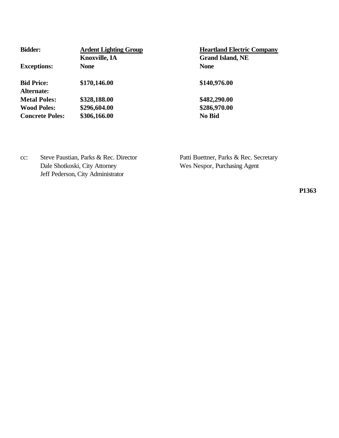| <b>Bidder:</b>                  | <b>Ardent Lighting Group</b> | <b>Heartland Electric Company</b> |  |
|---------------------------------|------------------------------|-----------------------------------|--|
|                                 | <b>Knoxville, IA</b>         | <b>Grand Island, NE</b>           |  |
| <b>Exceptions:</b>              | <b>None</b>                  | <b>None</b>                       |  |
| <b>Bid Price:</b><br>Alternate: | \$170,146.00                 | \$140,976.00                      |  |
| <b>Metal Poles:</b>             | \$328,188.00                 | \$482,290.00                      |  |
| <b>Wood Poles:</b>              | \$296,604.00                 | \$286,970.00                      |  |
| <b>Concrete Poles:</b>          | \$306,166.00                 | No Bid                            |  |

cc: Steve Paustian, Parks & Rec. Director Patti Buettner, Parks & Rec. Secretary Dale Shotkoski, City Attorney Wes Nespor, Purchasing Agent Jeff Pederson, City Administrator

**P1363**